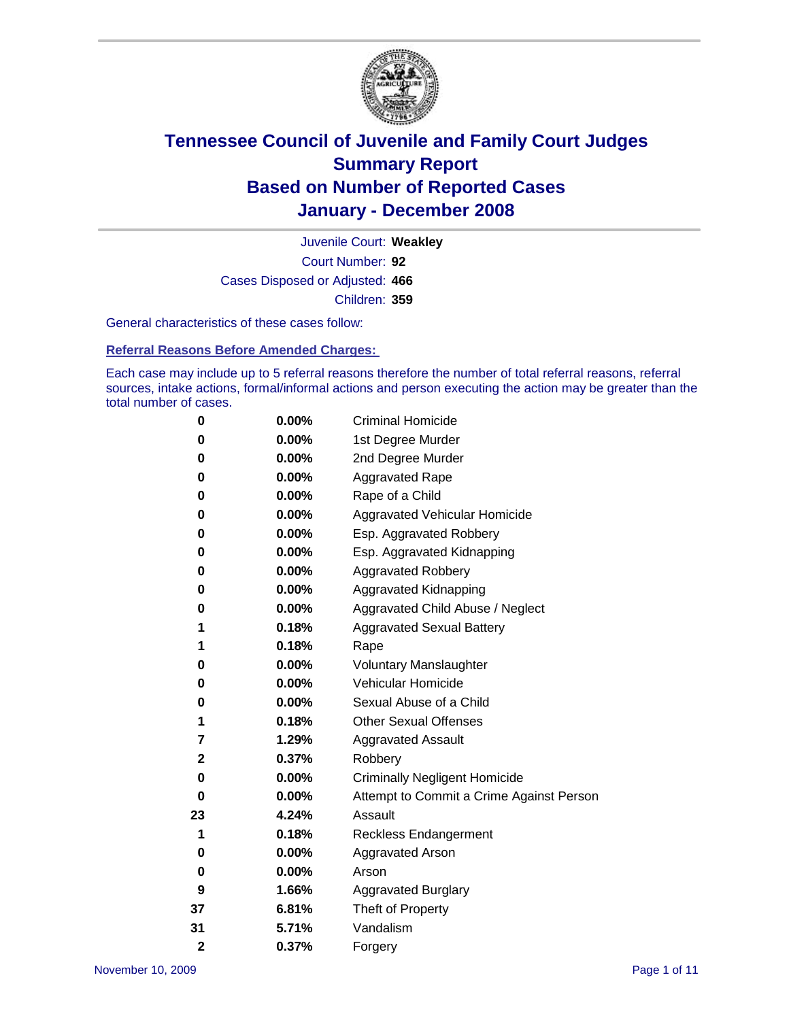

Court Number: **92** Juvenile Court: **Weakley** Cases Disposed or Adjusted: **466** Children: **359**

General characteristics of these cases follow:

**Referral Reasons Before Amended Charges:** 

Each case may include up to 5 referral reasons therefore the number of total referral reasons, referral sources, intake actions, formal/informal actions and person executing the action may be greater than the total number of cases.

| 0              | 0.00%    | <b>Criminal Homicide</b>                 |
|----------------|----------|------------------------------------------|
| 0              | 0.00%    | 1st Degree Murder                        |
| 0              | $0.00\%$ | 2nd Degree Murder                        |
| 0              | 0.00%    | <b>Aggravated Rape</b>                   |
| 0              | 0.00%    | Rape of a Child                          |
| 0              | 0.00%    | Aggravated Vehicular Homicide            |
| 0              | 0.00%    | Esp. Aggravated Robbery                  |
| 0              | 0.00%    | Esp. Aggravated Kidnapping               |
| 0              | 0.00%    | <b>Aggravated Robbery</b>                |
| 0              | $0.00\%$ | Aggravated Kidnapping                    |
| 0              | 0.00%    | Aggravated Child Abuse / Neglect         |
| 1              | 0.18%    | <b>Aggravated Sexual Battery</b>         |
| 1              | 0.18%    | Rape                                     |
| 0              | 0.00%    | <b>Voluntary Manslaughter</b>            |
| 0              | 0.00%    | Vehicular Homicide                       |
| 0              | 0.00%    | Sexual Abuse of a Child                  |
| 1              | 0.18%    | <b>Other Sexual Offenses</b>             |
| 7              | 1.29%    | <b>Aggravated Assault</b>                |
| 2              | 0.37%    | Robbery                                  |
| 0              | 0.00%    | <b>Criminally Negligent Homicide</b>     |
| 0              | 0.00%    | Attempt to Commit a Crime Against Person |
| 23             | 4.24%    | Assault                                  |
| 1              | 0.18%    | <b>Reckless Endangerment</b>             |
| 0              | 0.00%    | <b>Aggravated Arson</b>                  |
| 0              | 0.00%    | Arson                                    |
| 9              | 1.66%    | <b>Aggravated Burglary</b>               |
| 37             | 6.81%    | Theft of Property                        |
| 31             | 5.71%    | Vandalism                                |
| $\overline{2}$ | 0.37%    | Forgery                                  |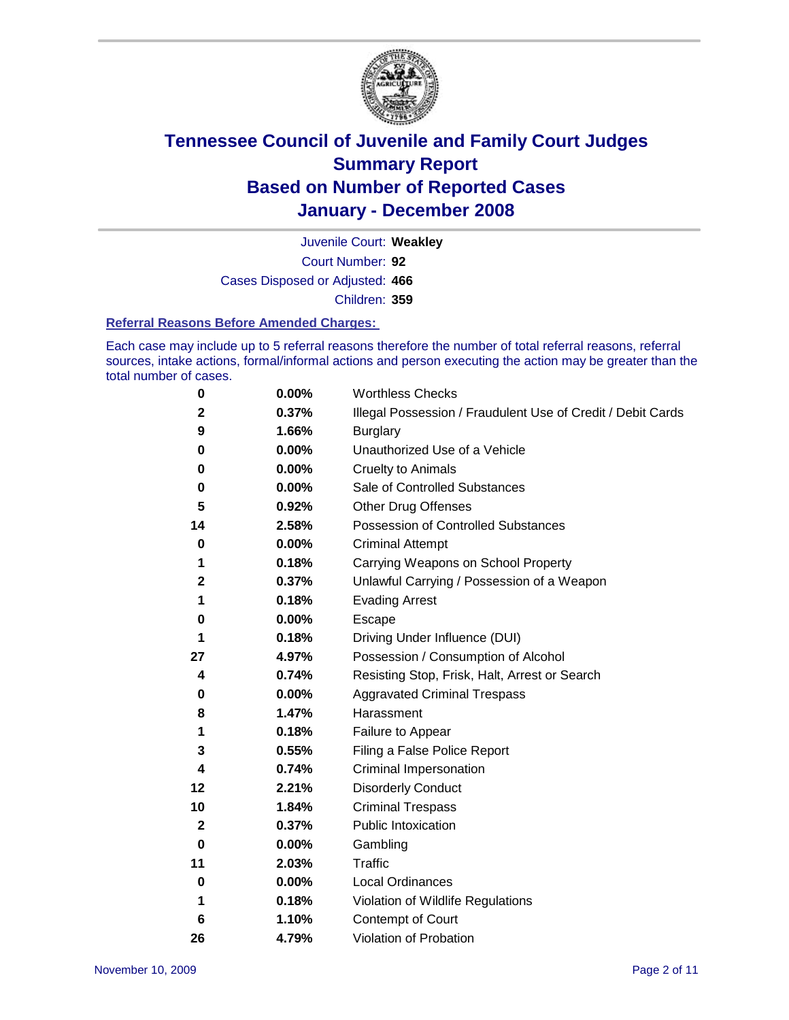

Court Number: **92** Juvenile Court: **Weakley** Cases Disposed or Adjusted: **466** Children: **359**

#### **Referral Reasons Before Amended Charges:**

Each case may include up to 5 referral reasons therefore the number of total referral reasons, referral sources, intake actions, formal/informal actions and person executing the action may be greater than the total number of cases.

| 0           | 0.00%    | <b>Worthless Checks</b>                                     |
|-------------|----------|-------------------------------------------------------------|
| 2           | 0.37%    | Illegal Possession / Fraudulent Use of Credit / Debit Cards |
| 9           | 1.66%    | <b>Burglary</b>                                             |
| 0           | 0.00%    | Unauthorized Use of a Vehicle                               |
| 0           | 0.00%    | <b>Cruelty to Animals</b>                                   |
| 0           | $0.00\%$ | Sale of Controlled Substances                               |
| 5           | 0.92%    | <b>Other Drug Offenses</b>                                  |
| 14          | 2.58%    | <b>Possession of Controlled Substances</b>                  |
| 0           | $0.00\%$ | <b>Criminal Attempt</b>                                     |
| 1           | 0.18%    | Carrying Weapons on School Property                         |
| 2           | 0.37%    | Unlawful Carrying / Possession of a Weapon                  |
| 1           | 0.18%    | <b>Evading Arrest</b>                                       |
| 0           | 0.00%    | Escape                                                      |
| 1           | 0.18%    | Driving Under Influence (DUI)                               |
| 27          | 4.97%    | Possession / Consumption of Alcohol                         |
| 4           | 0.74%    | Resisting Stop, Frisk, Halt, Arrest or Search               |
| 0           | 0.00%    | <b>Aggravated Criminal Trespass</b>                         |
| 8           | 1.47%    | Harassment                                                  |
| 1           | 0.18%    | Failure to Appear                                           |
| 3           | 0.55%    | Filing a False Police Report                                |
| 4           | 0.74%    | Criminal Impersonation                                      |
| 12          | 2.21%    | <b>Disorderly Conduct</b>                                   |
| 10          | 1.84%    | <b>Criminal Trespass</b>                                    |
| $\mathbf 2$ | 0.37%    | <b>Public Intoxication</b>                                  |
| 0           | 0.00%    | Gambling                                                    |
| 11          | 2.03%    | <b>Traffic</b>                                              |
| 0           | 0.00%    | Local Ordinances                                            |
| 1           | 0.18%    | Violation of Wildlife Regulations                           |
| 6           | 1.10%    | <b>Contempt of Court</b>                                    |
| 26          | 4.79%    | Violation of Probation                                      |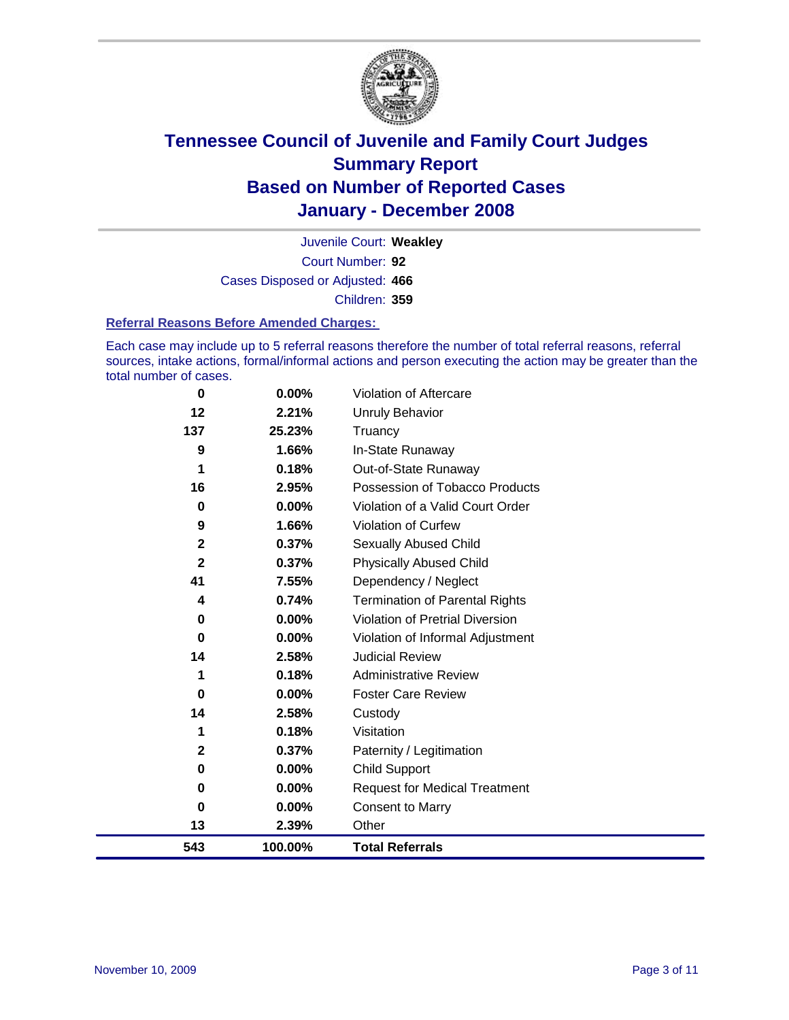

Court Number: **92** Juvenile Court: **Weakley** Cases Disposed or Adjusted: **466** Children: **359**

#### **Referral Reasons Before Amended Charges:**

Each case may include up to 5 referral reasons therefore the number of total referral reasons, referral sources, intake actions, formal/informal actions and person executing the action may be greater than the total number of cases.

| $\bf{0}$     | 0.00%    | Violation of Aftercare                 |
|--------------|----------|----------------------------------------|
| 12           | 2.21%    | Unruly Behavior                        |
| 137          | 25.23%   | Truancy                                |
| 9            | 1.66%    | In-State Runaway                       |
| 1            | 0.18%    | Out-of-State Runaway                   |
| 16           | 2.95%    | Possession of Tobacco Products         |
| 0            | 0.00%    | Violation of a Valid Court Order       |
| 9            | 1.66%    | Violation of Curfew                    |
| $\mathbf 2$  | 0.37%    | Sexually Abused Child                  |
| $\mathbf{2}$ | 0.37%    | <b>Physically Abused Child</b>         |
| 41           | 7.55%    | Dependency / Neglect                   |
| 4            | 0.74%    | <b>Termination of Parental Rights</b>  |
| 0            | $0.00\%$ | <b>Violation of Pretrial Diversion</b> |
| 0            | $0.00\%$ | Violation of Informal Adjustment       |
| 14           | 2.58%    | <b>Judicial Review</b>                 |
| 1            | 0.18%    | <b>Administrative Review</b>           |
| 0            | 0.00%    | <b>Foster Care Review</b>              |
| 14           | 2.58%    | Custody                                |
| 1            | 0.18%    | Visitation                             |
| $\mathbf{2}$ | 0.37%    | Paternity / Legitimation               |
| 0            | 0.00%    | Child Support                          |
| 0            | 0.00%    | <b>Request for Medical Treatment</b>   |
| 0            | 0.00%    | <b>Consent to Marry</b>                |
| 13           | 2.39%    | Other                                  |
| 543          | 100.00%  | <b>Total Referrals</b>                 |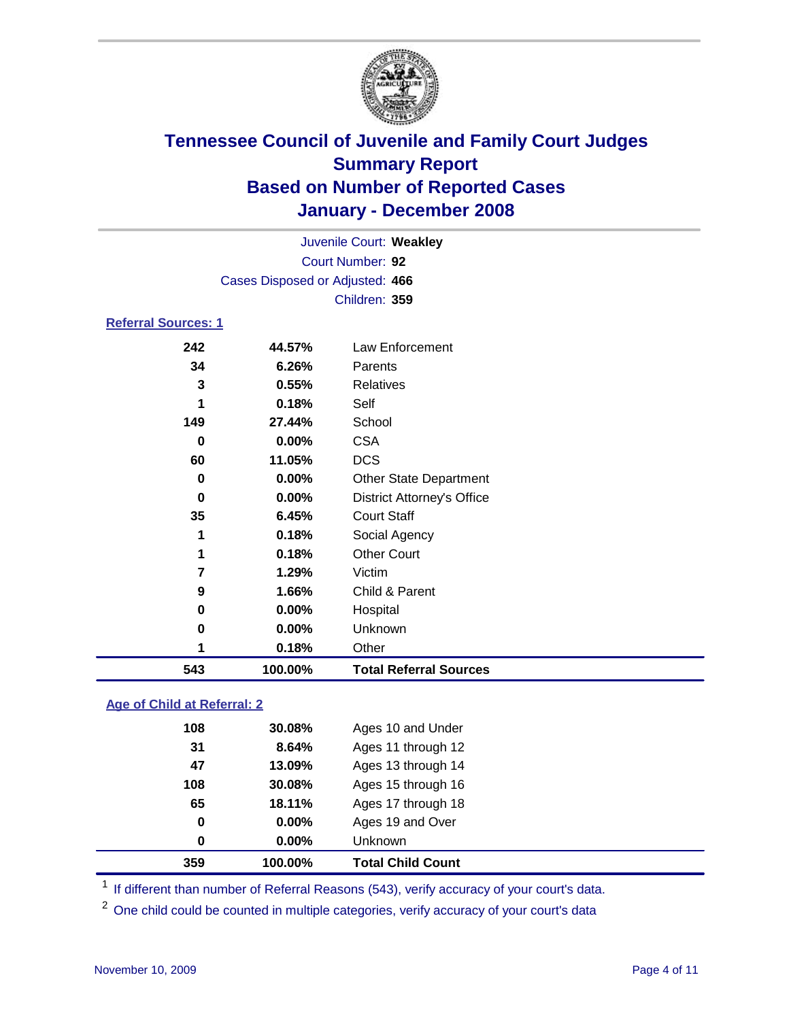

|                            |                                 | Juvenile Court: Weakley           |  |
|----------------------------|---------------------------------|-----------------------------------|--|
|                            |                                 | Court Number: 92                  |  |
|                            | Cases Disposed or Adjusted: 466 |                                   |  |
|                            |                                 | Children: 359                     |  |
| <b>Referral Sources: 1</b> |                                 |                                   |  |
| 242                        | 44.57%                          | Law Enforcement                   |  |
| 34                         | 6.26%                           | Parents                           |  |
| 3                          | 0.55%                           | <b>Relatives</b>                  |  |
| 1                          | 0.18%                           | Self                              |  |
| 149                        | 27.44%                          | School                            |  |
| 0                          | 0.00%                           | <b>CSA</b>                        |  |
| 60                         | 11.05%                          | <b>DCS</b>                        |  |
| 0                          | 0.00%                           | Other State Department            |  |
| 0                          | 0.00%                           | <b>District Attorney's Office</b> |  |
| 35                         | 6.45%                           | <b>Court Staff</b>                |  |
| 1                          | 0.18%                           | Social Agency                     |  |
| 1                          | 0.18%                           | <b>Other Court</b>                |  |
| 7                          | 1.29%                           | Victim                            |  |
| 9                          | 1.66%                           | Child & Parent                    |  |
| 0                          | 0.00%                           | Hospital                          |  |
| 0                          | 0.00%                           | Unknown                           |  |
| 1                          | 0.18%                           | Other                             |  |
| 543                        | 100.00%                         | <b>Total Referral Sources</b>     |  |

### **Age of Child at Referral: 2**

|     |          | Unknown            |  |
|-----|----------|--------------------|--|
| 0   | $0.00\%$ | Ages 19 and Over   |  |
| 65  | 18.11%   | Ages 17 through 18 |  |
| 108 | 30.08%   | Ages 15 through 16 |  |
| 47  | 13.09%   | Ages 13 through 14 |  |
| 31  | 8.64%    | Ages 11 through 12 |  |
| 108 | 30.08%   | Ages 10 and Under  |  |
|     |          | $0.00\%$<br>0      |  |

<sup>1</sup> If different than number of Referral Reasons (543), verify accuracy of your court's data.

<sup>2</sup> One child could be counted in multiple categories, verify accuracy of your court's data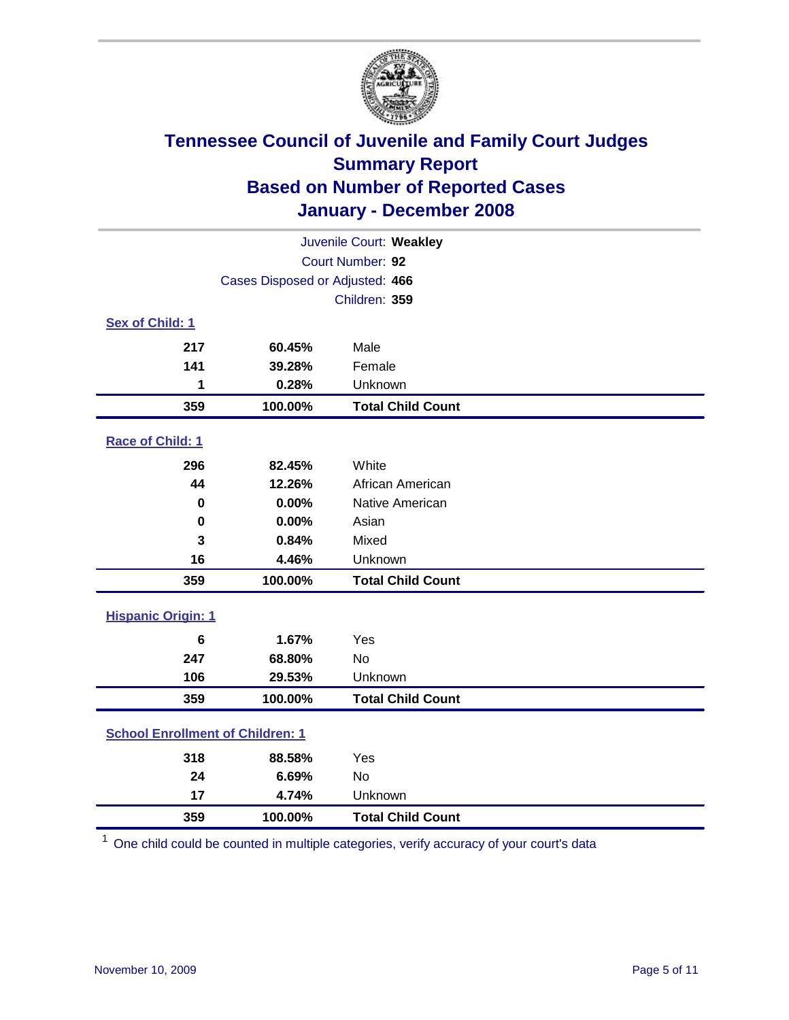

| Juvenile Court: Weakley                 |                                 |                          |  |  |  |
|-----------------------------------------|---------------------------------|--------------------------|--|--|--|
|                                         | Court Number: 92                |                          |  |  |  |
|                                         | Cases Disposed or Adjusted: 466 |                          |  |  |  |
|                                         |                                 | Children: 359            |  |  |  |
| Sex of Child: 1                         |                                 |                          |  |  |  |
| 217                                     | 60.45%                          | Male                     |  |  |  |
| 141                                     | 39.28%                          | Female                   |  |  |  |
| 1                                       | 0.28%                           | Unknown                  |  |  |  |
| 359                                     | 100.00%                         | <b>Total Child Count</b> |  |  |  |
| Race of Child: 1                        |                                 |                          |  |  |  |
| 296                                     | 82.45%                          | White                    |  |  |  |
| 44                                      | 12.26%                          | African American         |  |  |  |
| 0                                       | 0.00%                           | Native American          |  |  |  |
| $\bf{0}$                                | 0.00%                           | Asian                    |  |  |  |
| 3                                       | 0.84%                           | Mixed                    |  |  |  |
| 16                                      | 4.46%                           | Unknown                  |  |  |  |
| 359                                     | 100.00%                         | <b>Total Child Count</b> |  |  |  |
| <b>Hispanic Origin: 1</b>               |                                 |                          |  |  |  |
| 6                                       | 1.67%                           | Yes                      |  |  |  |
| 247                                     | 68.80%                          | <b>No</b>                |  |  |  |
| 106                                     | 29.53%                          | Unknown                  |  |  |  |
| 359                                     | 100.00%                         | <b>Total Child Count</b> |  |  |  |
| <b>School Enrollment of Children: 1</b> |                                 |                          |  |  |  |
| 318                                     | 88.58%                          | Yes                      |  |  |  |
| 24                                      | 6.69%                           | <b>No</b>                |  |  |  |
| 17                                      | 4.74%                           | Unknown                  |  |  |  |
| 359                                     | 100.00%                         | <b>Total Child Count</b> |  |  |  |

One child could be counted in multiple categories, verify accuracy of your court's data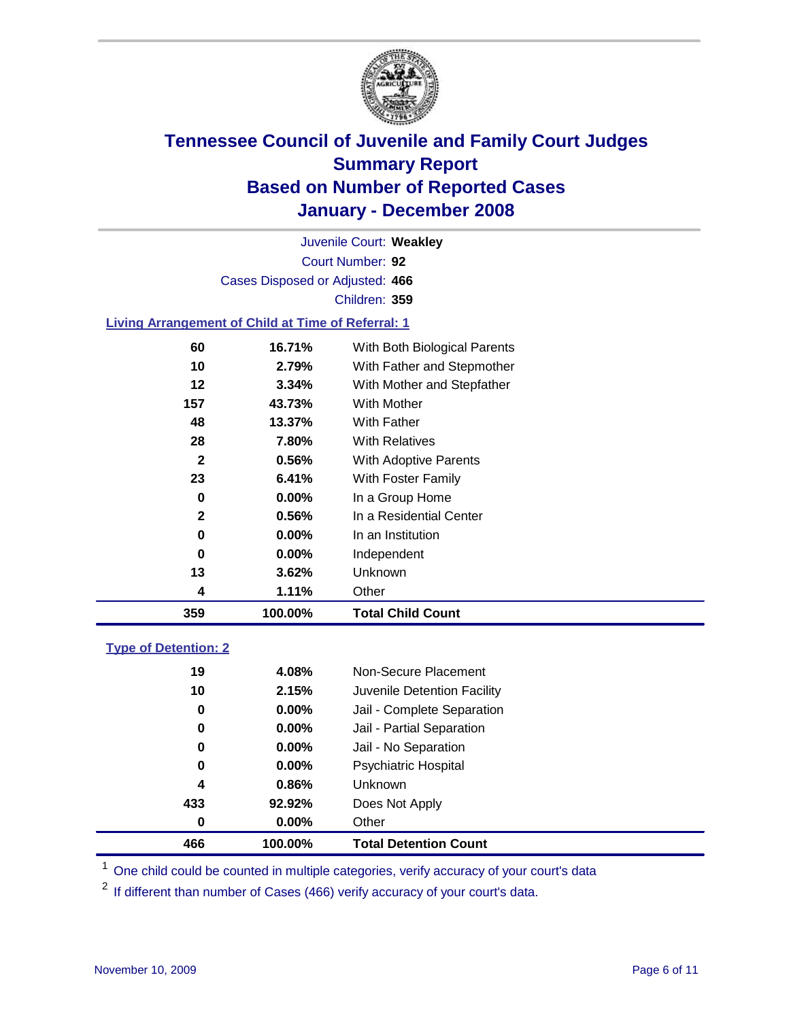

Court Number: **92** Juvenile Court: **Weakley** Cases Disposed or Adjusted: **466** Children: **359**

#### **Living Arrangement of Child at Time of Referral: 1**

| 359 | 100.00%  | <b>Total Child Count</b>     |
|-----|----------|------------------------------|
| 4   | 1.11%    | Other                        |
| 13  | 3.62%    | Unknown                      |
| 0   | $0.00\%$ | Independent                  |
| 0   | 0.00%    | In an Institution            |
| 2   | 0.56%    | In a Residential Center      |
| 0   | $0.00\%$ | In a Group Home              |
| 23  | 6.41%    | With Foster Family           |
| 2   | 0.56%    | With Adoptive Parents        |
| 28  | 7.80%    | <b>With Relatives</b>        |
| 48  | 13.37%   | With Father                  |
| 157 | 43.73%   | With Mother                  |
| 12  | 3.34%    | With Mother and Stepfather   |
| 10  | 2.79%    | With Father and Stepmother   |
| 60  | 16.71%   | With Both Biological Parents |
|     |          |                              |

#### **Type of Detention: 2**

| 466 | 100.00%  | <b>Total Detention Count</b> |
|-----|----------|------------------------------|
| 0   | $0.00\%$ | Other                        |
| 433 | 92.92%   | Does Not Apply               |
| 4   | 0.86%    | <b>Unknown</b>               |
| 0   | 0.00%    | Psychiatric Hospital         |
| 0   | $0.00\%$ | Jail - No Separation         |
| 0   | $0.00\%$ | Jail - Partial Separation    |
| 0   | $0.00\%$ | Jail - Complete Separation   |
| 10  | 2.15%    | Juvenile Detention Facility  |
| 19  | 4.08%    | Non-Secure Placement         |
|     |          |                              |

<sup>1</sup> One child could be counted in multiple categories, verify accuracy of your court's data

<sup>2</sup> If different than number of Cases (466) verify accuracy of your court's data.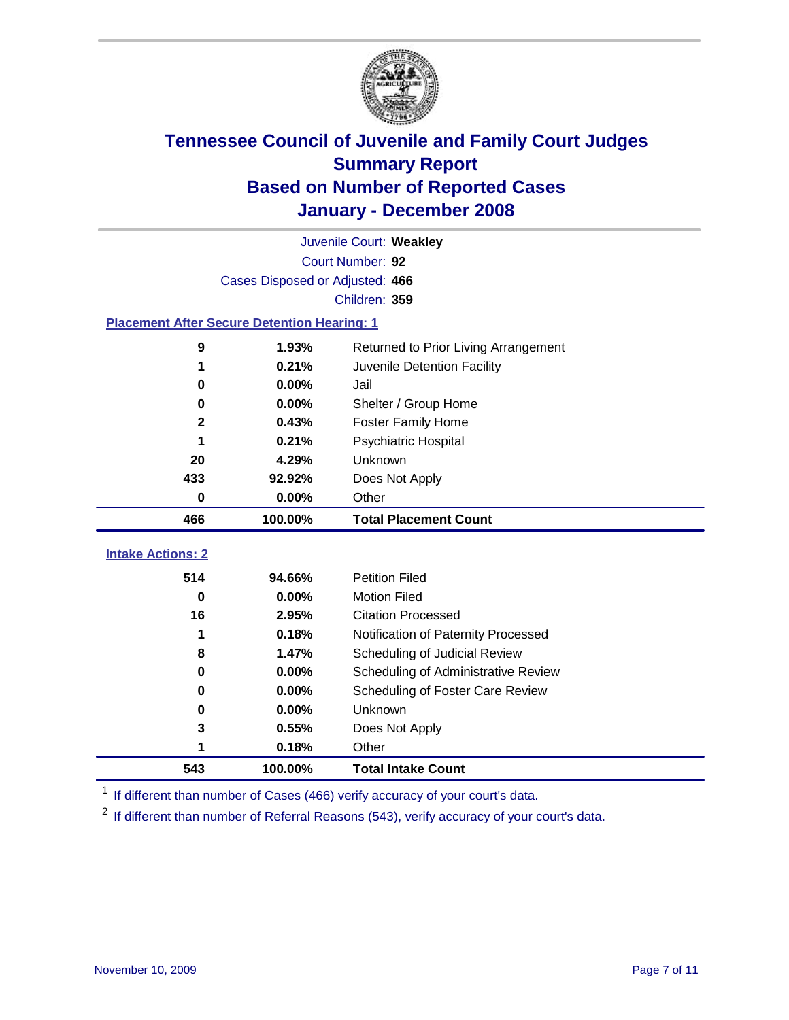

|                                                    | Juvenile Court: Weakley         |                                      |  |  |  |
|----------------------------------------------------|---------------------------------|--------------------------------------|--|--|--|
|                                                    | Court Number: 92                |                                      |  |  |  |
|                                                    | Cases Disposed or Adjusted: 466 |                                      |  |  |  |
|                                                    |                                 | Children: 359                        |  |  |  |
| <b>Placement After Secure Detention Hearing: 1</b> |                                 |                                      |  |  |  |
| 9                                                  | 1.93%                           | Returned to Prior Living Arrangement |  |  |  |
| 1                                                  | 0.21%                           | Juvenile Detention Facility          |  |  |  |
| 0                                                  | 0.00%                           | Jail                                 |  |  |  |
| 0                                                  | 0.00%                           | Shelter / Group Home                 |  |  |  |
| $\mathbf{2}$                                       | 0.43%                           | <b>Foster Family Home</b>            |  |  |  |
| 1                                                  | 0.21%                           | Psychiatric Hospital                 |  |  |  |
| 20                                                 | 4.29%                           | Unknown                              |  |  |  |
| 433                                                | 92.92%                          | Does Not Apply                       |  |  |  |
| 0                                                  | 0.00%                           | Other                                |  |  |  |
| 466                                                | 100.00%                         | <b>Total Placement Count</b>         |  |  |  |
|                                                    |                                 |                                      |  |  |  |
| <b>Intake Actions: 2</b>                           |                                 |                                      |  |  |  |
| 514                                                | 94.66%                          | <b>Petition Filed</b>                |  |  |  |
| 0                                                  | 0.00%                           | <b>Motion Filed</b>                  |  |  |  |
| 16                                                 | 2.95%                           | <b>Citation Processed</b>            |  |  |  |
| 1                                                  | 0.18%                           | Notification of Paternity Processed  |  |  |  |
| 8                                                  | 1.47%                           | Scheduling of Judicial Review        |  |  |  |
| 0                                                  | 0.00%                           | Scheduling of Administrative Review  |  |  |  |
| 0                                                  | 0.00%                           | Scheduling of Foster Care Review     |  |  |  |
| 0                                                  | 0.00%                           | Unknown                              |  |  |  |
| 3                                                  | 0.55%                           | Does Not Apply                       |  |  |  |
| 1                                                  | 0.18%                           | Other                                |  |  |  |
| 543                                                | 100.00%                         | <b>Total Intake Count</b>            |  |  |  |

<sup>1</sup> If different than number of Cases (466) verify accuracy of your court's data.

<sup>2</sup> If different than number of Referral Reasons (543), verify accuracy of your court's data.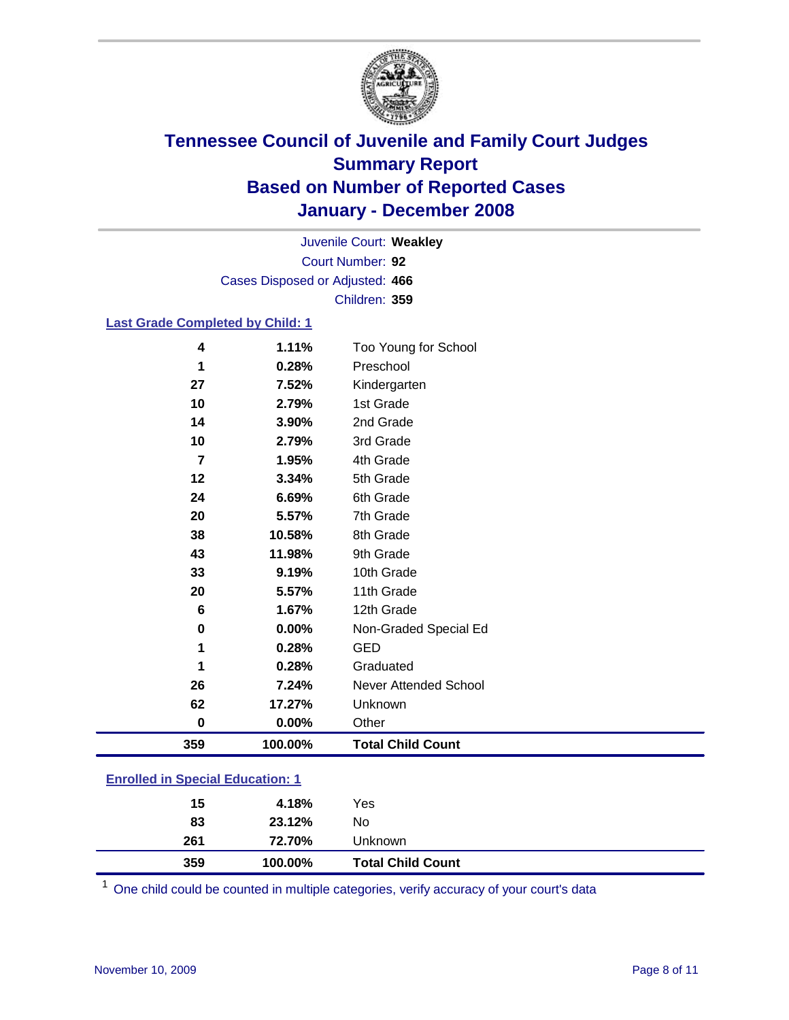

Court Number: **92** Juvenile Court: **Weakley** Cases Disposed or Adjusted: **466** Children: **359**

### **Last Grade Completed by Child: 1**

| 359            | 100.00% | <b>Total Child Count</b>     |
|----------------|---------|------------------------------|
| $\bf{0}$       | 0.00%   | Other                        |
| 62             | 17.27%  | Unknown                      |
| 26             | 7.24%   | <b>Never Attended School</b> |
| 1              | 0.28%   | Graduated                    |
| 1              | 0.28%   | <b>GED</b>                   |
| $\bf{0}$       | 0.00%   | Non-Graded Special Ed        |
| 6              | 1.67%   | 12th Grade                   |
| 20             | 5.57%   | 11th Grade                   |
| 33             | 9.19%   | 10th Grade                   |
| 43             | 11.98%  | 9th Grade                    |
| 38             | 10.58%  | 8th Grade                    |
| 20             | 5.57%   | 7th Grade                    |
| 24             | 6.69%   | 6th Grade                    |
| 12             | 3.34%   | 5th Grade                    |
| $\overline{7}$ | 1.95%   | 4th Grade                    |
| 10             | 2.79%   | 3rd Grade                    |
| 14             | 3.90%   | 2nd Grade                    |
| 10             | 2.79%   | 1st Grade                    |
| 27             | 7.52%   | Kindergarten                 |
| 1              | 0.28%   | Preschool                    |
| 4              | 1.11%   | Too Young for School         |

### **Enrolled in Special Education: 1**

| 15<br>83 | 4.18%<br>23.12% | Yes<br>No                |
|----------|-----------------|--------------------------|
| 261      | 72.70%          | Unknown                  |
| 359      | 100.00%         | <b>Total Child Count</b> |

One child could be counted in multiple categories, verify accuracy of your court's data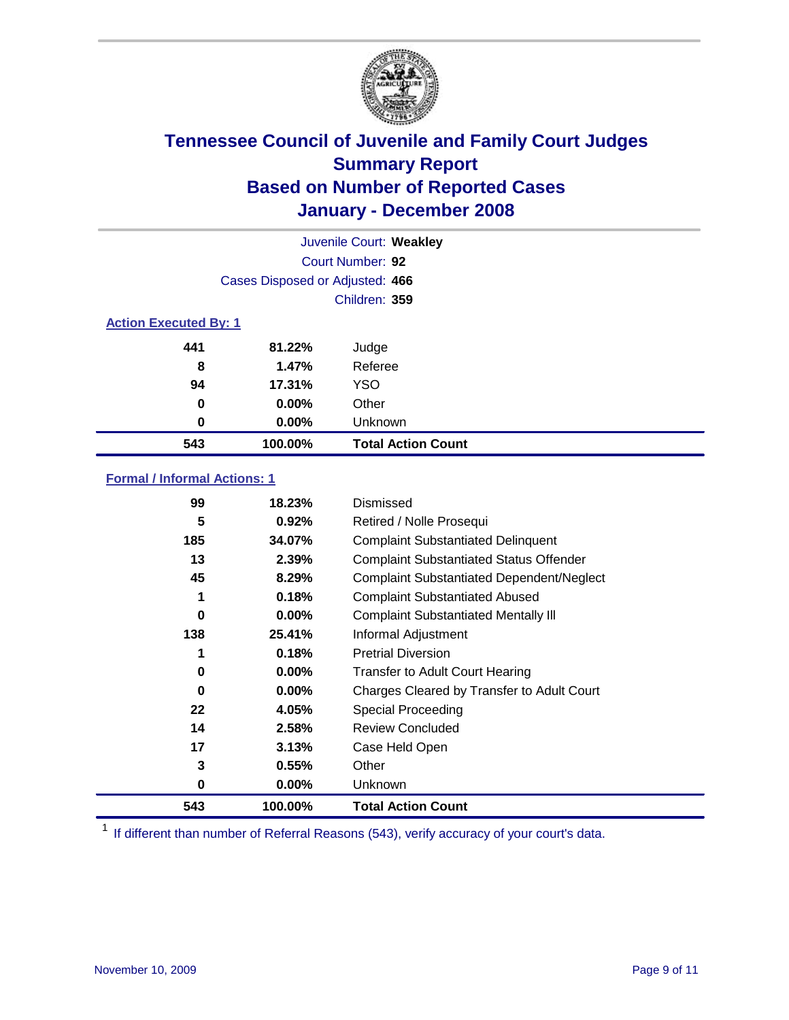

| Juvenile Court: Weakley      |                                 |                           |  |  |  |
|------------------------------|---------------------------------|---------------------------|--|--|--|
|                              | Court Number: 92                |                           |  |  |  |
|                              | Cases Disposed or Adjusted: 466 |                           |  |  |  |
|                              |                                 | Children: 359             |  |  |  |
| <b>Action Executed By: 1</b> |                                 |                           |  |  |  |
| 441                          | 81.22%                          | Judge                     |  |  |  |
| 8                            | 1.47%                           | Referee                   |  |  |  |
| 94                           | 17.31%                          | <b>YSO</b>                |  |  |  |
| 0                            | $0.00\%$                        | Other                     |  |  |  |
| 0                            | $0.00\%$                        | Unknown                   |  |  |  |
| 543                          | 100.00%                         | <b>Total Action Count</b> |  |  |  |

### **Formal / Informal Actions: 1**

| 99  | 18.23%   | Dismissed                                        |
|-----|----------|--------------------------------------------------|
| 5   | 0.92%    | Retired / Nolle Prosequi                         |
| 185 | 34.07%   | <b>Complaint Substantiated Delinquent</b>        |
| 13  | 2.39%    | <b>Complaint Substantiated Status Offender</b>   |
| 45  | 8.29%    | <b>Complaint Substantiated Dependent/Neglect</b> |
| 1   | 0.18%    | <b>Complaint Substantiated Abused</b>            |
| 0   | 0.00%    | <b>Complaint Substantiated Mentally III</b>      |
| 138 | 25.41%   | Informal Adjustment                              |
|     | 0.18%    | <b>Pretrial Diversion</b>                        |
| 0   | $0.00\%$ | <b>Transfer to Adult Court Hearing</b>           |
| 0   | $0.00\%$ | Charges Cleared by Transfer to Adult Court       |
| 22  | 4.05%    | Special Proceeding                               |
| 14  | 2.58%    | <b>Review Concluded</b>                          |
| 17  | 3.13%    | Case Held Open                                   |
| 3   | 0.55%    | Other                                            |
| 0   | $0.00\%$ | <b>Unknown</b>                                   |
| 543 | 100.00%  | <b>Total Action Count</b>                        |

<sup>1</sup> If different than number of Referral Reasons (543), verify accuracy of your court's data.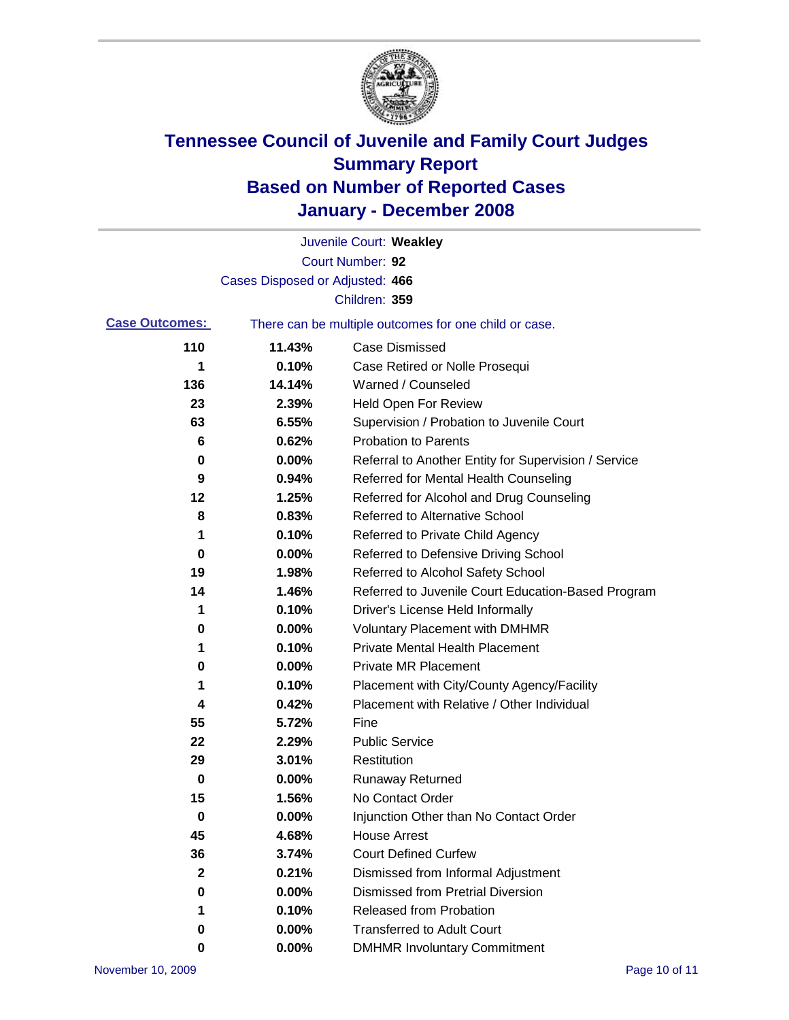

|                       |                                 | Juvenile Court: Weakley                               |
|-----------------------|---------------------------------|-------------------------------------------------------|
|                       |                                 | Court Number: 92                                      |
|                       | Cases Disposed or Adjusted: 466 |                                                       |
|                       |                                 | Children: 359                                         |
| <b>Case Outcomes:</b> |                                 | There can be multiple outcomes for one child or case. |
| 110                   | 11.43%                          | Case Dismissed                                        |
| 1                     | 0.10%                           | Case Retired or Nolle Prosequi                        |
| 136                   | 14.14%                          | Warned / Counseled                                    |
| 23                    | 2.39%                           | <b>Held Open For Review</b>                           |
| 63                    | 6.55%                           | Supervision / Probation to Juvenile Court             |
| 6                     | 0.62%                           | <b>Probation to Parents</b>                           |
| 0                     | 0.00%                           | Referral to Another Entity for Supervision / Service  |
| 9                     | 0.94%                           | Referred for Mental Health Counseling                 |
| 12                    | 1.25%                           | Referred for Alcohol and Drug Counseling              |
| 8                     | 0.83%                           | Referred to Alternative School                        |
| 1                     | 0.10%                           | Referred to Private Child Agency                      |
| 0                     | 0.00%                           | Referred to Defensive Driving School                  |
| 19                    | 1.98%                           | Referred to Alcohol Safety School                     |
| 14                    | 1.46%                           | Referred to Juvenile Court Education-Based Program    |
| 1                     | 0.10%                           | Driver's License Held Informally                      |
| 0                     | 0.00%                           | <b>Voluntary Placement with DMHMR</b>                 |
| 1                     | 0.10%                           | <b>Private Mental Health Placement</b>                |
| 0                     | 0.00%                           | Private MR Placement                                  |
| 1                     | 0.10%                           | Placement with City/County Agency/Facility            |
| 4                     | 0.42%                           | Placement with Relative / Other Individual            |
| 55                    | 5.72%                           | Fine                                                  |
| 22                    | 2.29%                           | <b>Public Service</b>                                 |
| 29                    | 3.01%                           | Restitution                                           |
| 0                     | 0.00%                           | <b>Runaway Returned</b>                               |
| 15                    | 1.56%                           | No Contact Order                                      |
| 0                     | $0.00\%$                        | Injunction Other than No Contact Order                |
| 45                    | 4.68%                           | <b>House Arrest</b>                                   |
| 36                    | 3.74%                           | <b>Court Defined Curfew</b>                           |
| 2                     | 0.21%                           | Dismissed from Informal Adjustment                    |
| 0                     | 0.00%                           | <b>Dismissed from Pretrial Diversion</b>              |
| 1                     | 0.10%                           | Released from Probation                               |
| 0                     | 0.00%                           | <b>Transferred to Adult Court</b>                     |
| 0                     | $0.00\%$                        | <b>DMHMR Involuntary Commitment</b>                   |
|                       |                                 |                                                       |